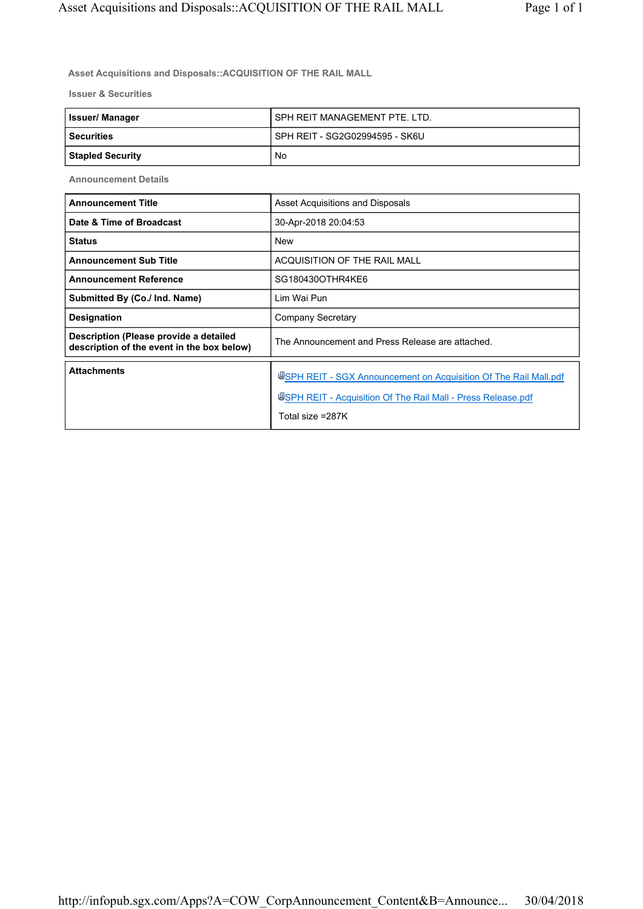**Asset Acquisitions and Disposals::ACQUISITION OF THE RAIL MALL**

**Issuer & Securities**

| <b>Issuer/Manager</b>   | I SPH REIT MANAGEMENT PTE. LTD.  |
|-------------------------|----------------------------------|
| <b>Securities</b>       | I SPH REIT - SG2G02994595 - SK6U |
| <b>Stapled Security</b> | No                               |

**Announcement Details**

| <b>Announcement Title</b>                                                            | Asset Acquisitions and Disposals                                                                                                                     |
|--------------------------------------------------------------------------------------|------------------------------------------------------------------------------------------------------------------------------------------------------|
| Date & Time of Broadcast                                                             | 30-Apr-2018 20:04:53                                                                                                                                 |
| <b>Status</b>                                                                        | <b>New</b>                                                                                                                                           |
| <b>Announcement Sub Title</b>                                                        | ACQUISITION OF THE RAIL MALL                                                                                                                         |
| <b>Announcement Reference</b>                                                        | SG180430OTHR4KE6                                                                                                                                     |
| Submitted By (Co./ Ind. Name)                                                        | Lim Wai Pun                                                                                                                                          |
| <b>Designation</b>                                                                   | Company Secretary                                                                                                                                    |
| Description (Please provide a detailed<br>description of the event in the box below) | The Announcement and Press Release are attached.                                                                                                     |
| <b>Attachments</b>                                                                   | USPH REIT - SGX Announcement on Acquisition Of The Rail Mall.pdf<br>USPH REIT - Acquisition Of The Rail Mall - Press Release.pdf<br>Total size =287K |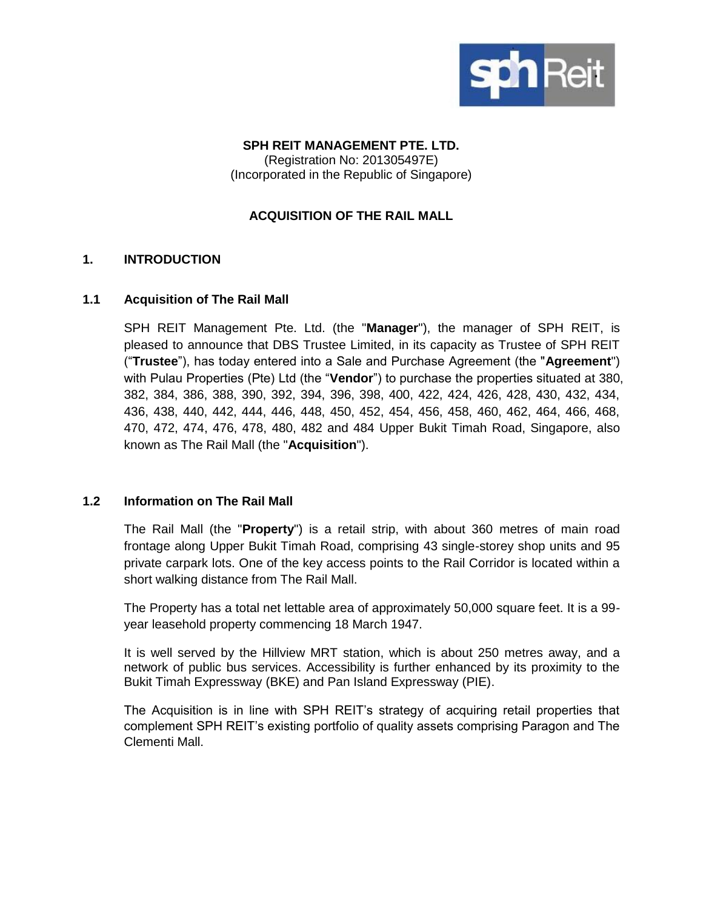

### **SPH REIT MANAGEMENT PTE. LTD.** (Registration No: 201305497E) (Incorporated in the Republic of Singapore)

## **ACQUISITION OF THE RAIL MALL**

## **1. INTRODUCTION**

#### **1.1 Acquisition of The Rail Mall**

SPH REIT Management Pte. Ltd. (the "**Manager**"), the manager of SPH REIT, is pleased to announce that DBS Trustee Limited, in its capacity as Trustee of SPH REIT ("**Trustee**"), has today entered into a Sale and Purchase Agreement (the "**Agreement**") with Pulau Properties (Pte) Ltd (the "**Vendor**") to purchase the properties situated at 380, 382, 384, 386, 388, 390, 392, 394, 396, 398, 400, 422, 424, 426, 428, 430, 432, 434, 436, 438, 440, 442, 444, 446, 448, 450, 452, 454, 456, 458, 460, 462, 464, 466, 468, 470, 472, 474, 476, 478, 480, 482 and 484 Upper Bukit Timah Road, Singapore, also known as The Rail Mall (the "**Acquisition**").

#### **1.2 Information on The Rail Mall**

The Rail Mall (the "**Property**") is a retail strip, with about 360 metres of main road frontage along Upper Bukit Timah Road, comprising 43 single-storey shop units and 95 private carpark lots. One of the key access points to the Rail Corridor is located within a short walking distance from The Rail Mall.

The Property has a total net lettable area of approximately 50,000 square feet. It is a 99 year leasehold property commencing 18 March 1947.

It is well served by the Hillview MRT station, which is about 250 metres away, and a network of public bus services. Accessibility is further enhanced by its proximity to the Bukit Timah Expressway (BKE) and Pan Island Expressway (PIE).

The Acquisition is in line with SPH REIT's strategy of acquiring retail properties that complement SPH REIT's existing portfolio of quality assets comprising Paragon and The Clementi Mall.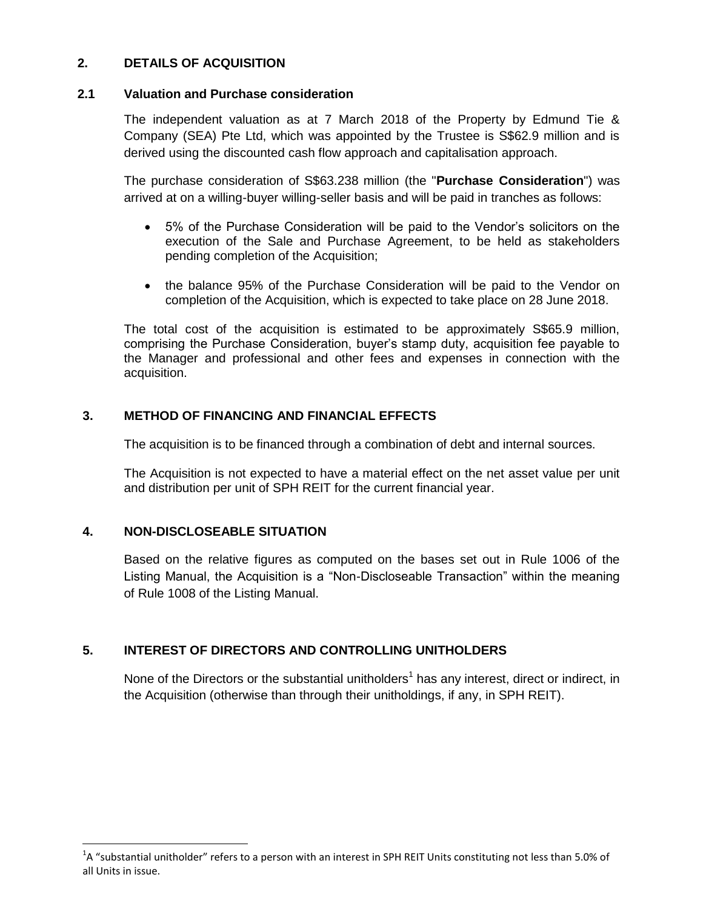## **2. DETAILS OF ACQUISITION**

### **2.1 Valuation and Purchase consideration**

The independent valuation as at 7 March 2018 of the Property by Edmund Tie & Company (SEA) Pte Ltd, which was appointed by the Trustee is S\$62.9 million and is derived using the discounted cash flow approach and capitalisation approach.

The purchase consideration of S\$63.238 million (the "**Purchase Consideration**") was arrived at on a willing-buyer willing-seller basis and will be paid in tranches as follows:

- 5% of the Purchase Consideration will be paid to the Vendor's solicitors on the execution of the Sale and Purchase Agreement, to be held as stakeholders pending completion of the Acquisition;
- the balance 95% of the Purchase Consideration will be paid to the Vendor on completion of the Acquisition, which is expected to take place on 28 June 2018.

The total cost of the acquisition is estimated to be approximately S\$65.9 million, comprising the Purchase Consideration, buyer's stamp duty, acquisition fee payable to the Manager and professional and other fees and expenses in connection with the acquisition.

## **3. METHOD OF FINANCING AND FINANCIAL EFFECTS**

The acquisition is to be financed through a combination of debt and internal sources.

The Acquisition is not expected to have a material effect on the net asset value per unit and distribution per unit of SPH REIT for the current financial year.

## **4. NON-DISCLOSEABLE SITUATION**

l

Based on the relative figures as computed on the bases set out in Rule 1006 of the Listing Manual, the Acquisition is a "Non-Discloseable Transaction" within the meaning of Rule 1008 of the Listing Manual.

## **5. INTEREST OF DIRECTORS AND CONTROLLING UNITHOLDERS**

None of the Directors or the substantial unitholders<sup>1</sup> has any interest, direct or indirect, in the Acquisition (otherwise than through their unitholdings, if any, in SPH REIT).

<sup>&</sup>lt;sup>1</sup>A "substantial unitholder" refers to a person with an interest in SPH REIT Units constituting not less than 5.0% of all Units in issue.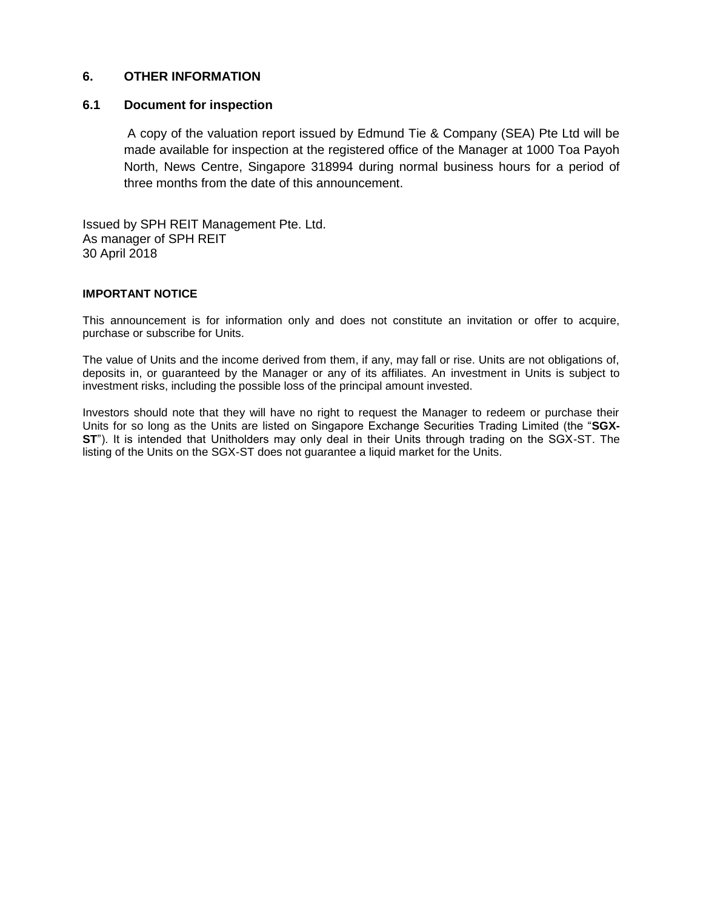#### **6. OTHER INFORMATION**

#### **6.1 Document for inspection**

A copy of the valuation report issued by Edmund Tie & Company (SEA) Pte Ltd will be made available for inspection at the registered office of the Manager at 1000 Toa Payoh North, News Centre, Singapore 318994 during normal business hours for a period of three months from the date of this announcement.

Issued by SPH REIT Management Pte. Ltd. As manager of SPH REIT 30 April 2018

#### **IMPORTANT NOTICE**

This announcement is for information only and does not constitute an invitation or offer to acquire, purchase or subscribe for Units.

The value of Units and the income derived from them, if any, may fall or rise. Units are not obligations of, deposits in, or guaranteed by the Manager or any of its affiliates. An investment in Units is subject to investment risks, including the possible loss of the principal amount invested.

Investors should note that they will have no right to request the Manager to redeem or purchase their Units for so long as the Units are listed on Singapore Exchange Securities Trading Limited (the "**SGX-ST**"). It is intended that Unitholders may only deal in their Units through trading on the SGX-ST. The listing of the Units on the SGX-ST does not guarantee a liquid market for the Units.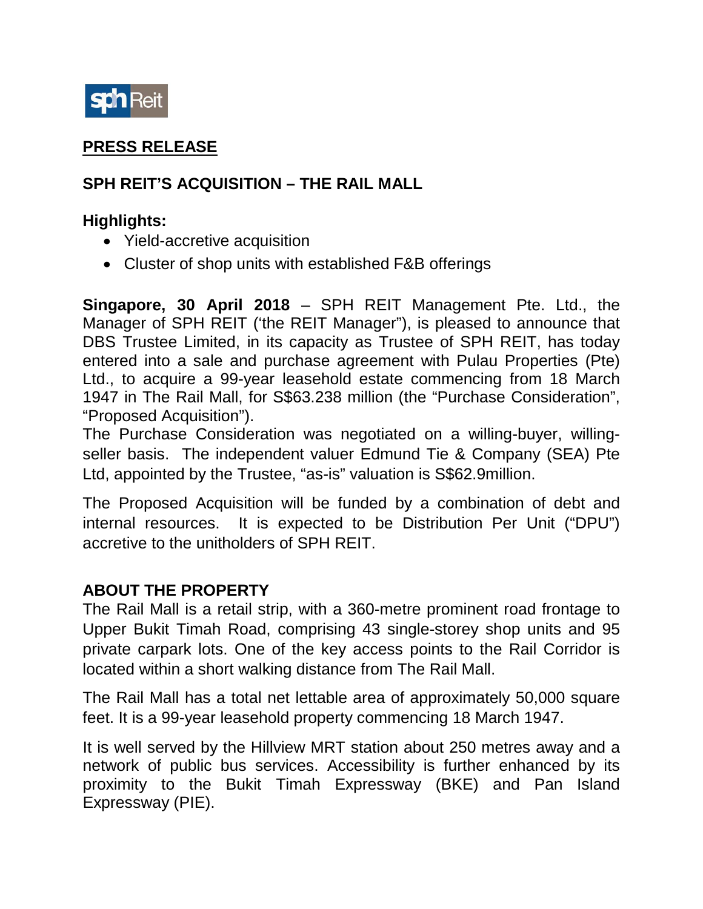

# **PRESS RELEASE**

# **SPH REIT'S ACQUISITION – THE RAIL MALL**

## **Highlights:**

- Yield-accretive acquisition
- Cluster of shop units with established F&B offerings

**Singapore, 30 April 2018** – SPH REIT Management Pte. Ltd., the Manager of SPH REIT ('the REIT Manager"), is pleased to announce that DBS Trustee Limited, in its capacity as Trustee of SPH REIT, has today entered into a sale and purchase agreement with Pulau Properties (Pte) Ltd., to acquire a 99-year leasehold estate commencing from 18 March 1947 in The Rail Mall, for S\$63.238 million (the "Purchase Consideration", "Proposed Acquisition").

The Purchase Consideration was negotiated on a willing-buyer, willingseller basis. The independent valuer Edmund Tie & Company (SEA) Pte Ltd, appointed by the Trustee, "as-is" valuation is S\$62.9million.

The Proposed Acquisition will be funded by a combination of debt and internal resources. It is expected to be Distribution Per Unit ("DPU") accretive to the unitholders of SPH REIT.

## **ABOUT THE PROPERTY**

The Rail Mall is a retail strip, with a 360-metre prominent road frontage to Upper Bukit Timah Road, comprising 43 single-storey shop units and 95 private carpark lots. One of the key access points to the Rail Corridor is located within a short walking distance from The Rail Mall.

The Rail Mall has a total net lettable area of approximately 50,000 square feet. It is a 99-year leasehold property commencing 18 March 1947.

It is well served by the Hillview MRT station about 250 metres away and a network of public bus services. Accessibility is further enhanced by its proximity to the Bukit Timah Expressway (BKE) and Pan Island Expressway (PIE).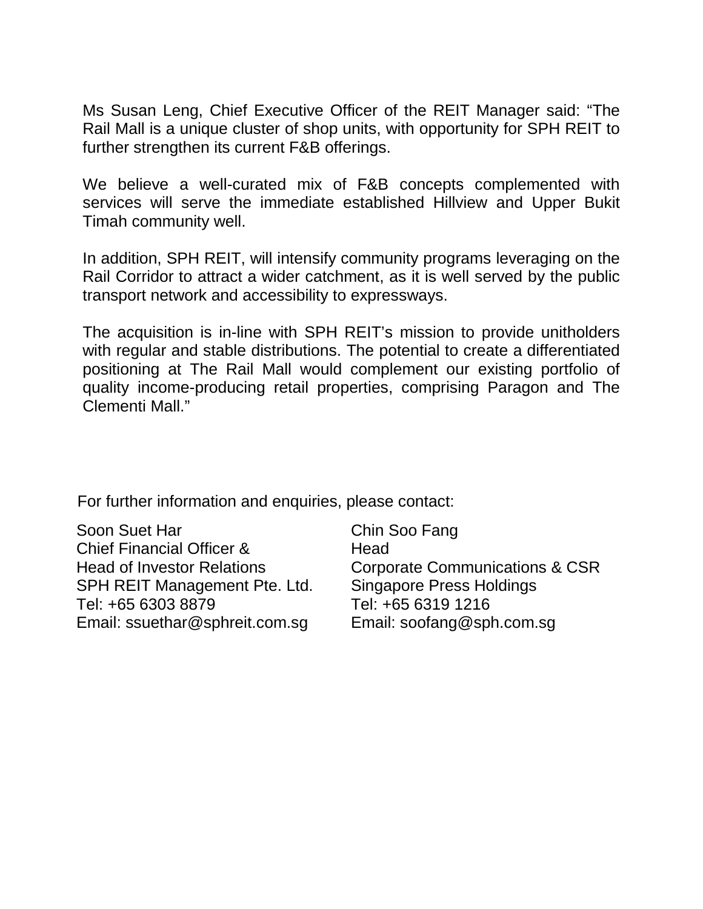Ms Susan Leng, Chief Executive Officer of the REIT Manager said: "The Rail Mall is a unique cluster of shop units, with opportunity for SPH REIT to further strengthen its current F&B offerings.

We believe a well-curated mix of F&B concepts complemented with services will serve the immediate established Hillview and Upper Bukit Timah community well.

In addition, SPH REIT, will intensify community programs leveraging on the Rail Corridor to attract a wider catchment, as it is well served by the public transport network and accessibility to expressways.

The acquisition is in-line with SPH REIT's mission to provide unitholders with regular and stable distributions. The potential to create a differentiated positioning at The Rail Mall would complement our existing portfolio of quality income-producing retail properties, comprising Paragon and The Clementi Mall."

For further information and enquiries, please contact:

Soon Suet Har Chief Financial Officer & Head of Investor Relations SPH REIT Management Pte. Ltd. Tel: +65 6303 8879 Email: ssuethar@sphreit.com.sg

Chin Soo Fang **Head** Corporate Communications & CSR Singapore Press Holdings Tel: +65 6319 1216 Email: [soofang@sph.com.sg](mailto:soofang@sph.com.sg)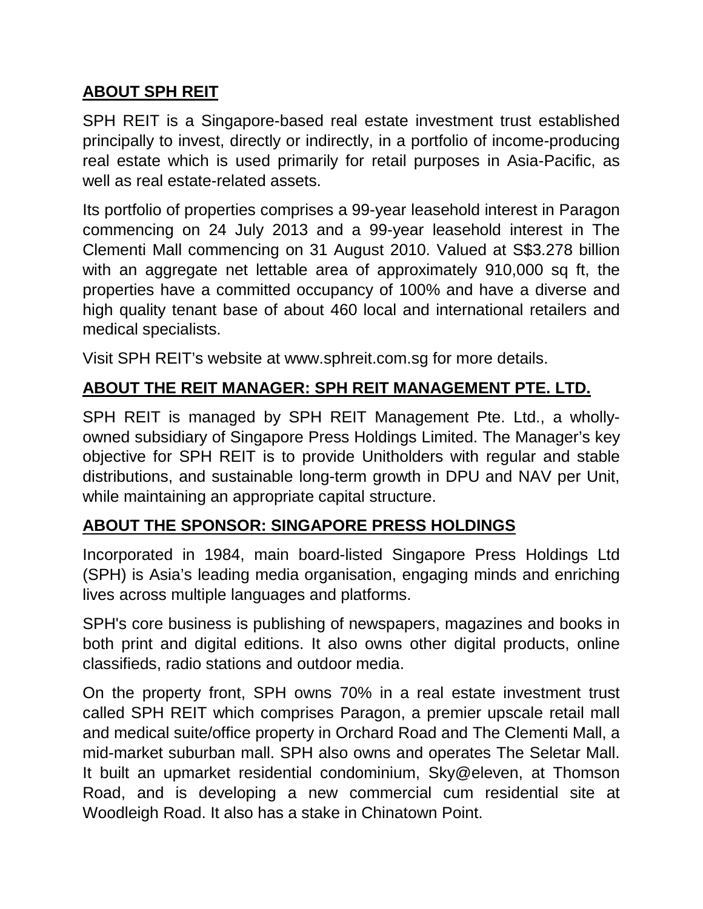# **ABOUT SPH REIT**

SPH REIT is a Singapore-based real estate investment trust established principally to invest, directly or indirectly, in a portfolio of income-producing real estate which is used primarily for retail purposes in Asia-Pacific, as well as real estate-related assets.

Its portfolio of properties comprises a 99-year leasehold interest in Paragon commencing on 24 July 2013 and a 99-year leasehold interest in The Clementi Mall commencing on 31 August 2010. Valued at S\$3.278 billion with an aggregate net lettable area of approximately 910,000 sq ft, the properties have a committed occupancy of 100% and have a diverse and high quality tenant base of about 460 local and international retailers and medical specialists.

Visit SPH REIT's website at www.sphreit.com.sg for more details.

# **ABOUT THE REIT MANAGER: SPH REIT MANAGEMENT PTE. LTD.**

SPH REIT is managed by SPH REIT Management Pte. Ltd., a whollyowned subsidiary of Singapore Press Holdings Limited. The Manager's key objective for SPH REIT is to provide Unitholders with regular and stable distributions, and sustainable long-term growth in DPU and NAV per Unit, while maintaining an appropriate capital structure.

# **ABOUT THE SPONSOR: SINGAPORE PRESS HOLDINGS**

Incorporated in 1984, main board-listed Singapore Press Holdings Ltd (SPH) is Asia's leading media organisation, engaging minds and enriching lives across multiple languages and platforms.

SPH's core business is publishing of newspapers, magazines and books in both print and digital editions. It also owns other digital products, online classifieds, radio stations and outdoor media.

On the property front, SPH owns 70% in a real estate investment trust called SPH REIT which comprises Paragon, a premier upscale retail mall and medical suite/office property in Orchard Road and The Clementi Mall, a mid-market suburban mall. SPH also owns and operates The Seletar Mall. It built an upmarket residential condominium, Sky@eleven, at Thomson Road, and is developing a new commercial cum residential site at Woodleigh Road. It also has a stake in Chinatown Point.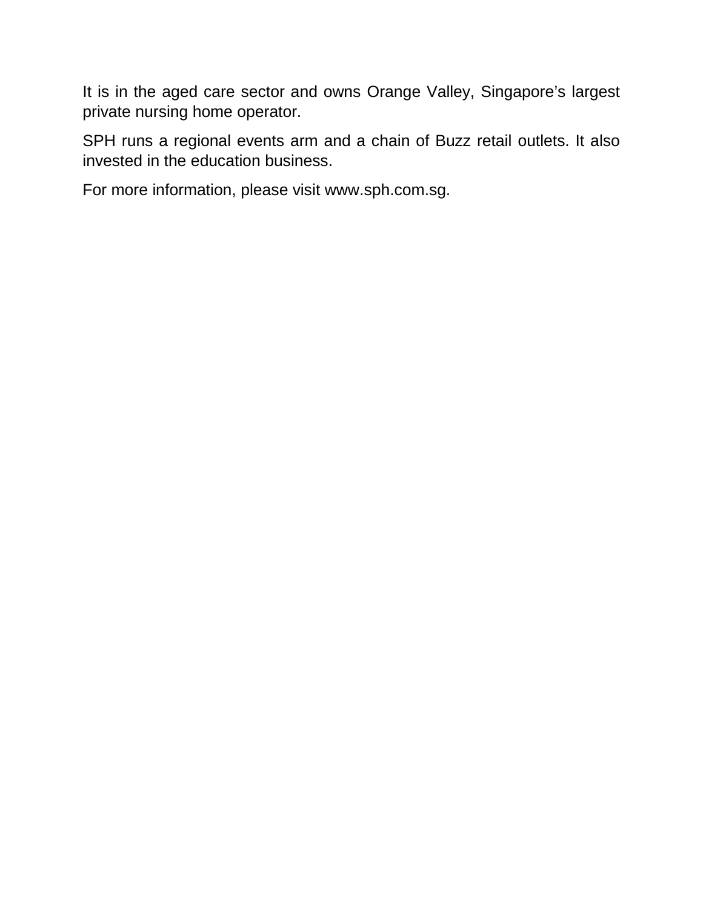It is in the aged care sector and owns Orange Valley, Singapore's largest private nursing home operator.

SPH runs a regional events arm and a chain of Buzz retail outlets. It also invested in the education business.

For more information, please visit www.sph.com.sg.